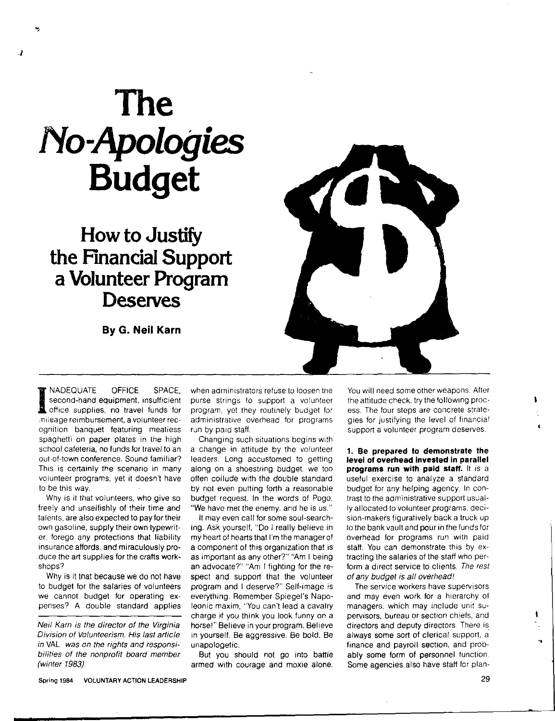## **The**  *No-Apologies*  **Budget**

..,

**How to Justify the Financial Support a Volunteer Program Deserves** 

**By G. Neil Karn** 



**INADEQUATE OFFICE SPACE,<br>
Second-hand equipment, insufficient<br>
Indicate supplies, no travel funds for<br>
Indiana reimbursement a volunteer rec**second-hand equipment, insufficient office supplies, no travel funds for ,nileage reimbursement, a volunteer recognition banquet featuring meatless spaghetti on paper plates in the high school cafeteria, no funds for travel to an out-of-town conference. Sound familiar? This is certainly the scenario in many volunteer programs, yet it doesn't have to be this **way.** 

**Why** is 11 that volunteers, **who give so**  freely and unselfishly **of their time and**  talents, **are** also **expected to pay for their own** gasoline, **supply their own typewrit**er, forego **any protections that liability**  insurance **affords, and miraculously pro**duce the art supplies **for** the **crafts work**shops?

**Why is it that because we do not have**  to **budget** for the **salaries of** volunteers we cannot budget for operating expenses? **A** double **standard applies** 

Neil Karn is the director of the Virginia Division of Volunteerism. His last article in VAL was on the rights and responsibilities of the nonprofit board member (winter 1983).

when administrators refuse to loosen the purse strings to support a volunteer program, yet they routinely budget for administrative overhead for programs run by paid staff.

Changing such situations begins with a change in attitude by the volunteer leaders. Long accustomed to getting along on a shoestring budget, we too often collude with the double standard by not even putting forth a reasonable budget request. In the words of Pogo, "We have met the enemy, and he is us."

It may even call tor some soul-searching. Ask yourself, "Do I really believe in my heart of hearts that I'm the manager of a component of this organization that is as important as any other?" "Am I being an advocate?" "Am I fighting for the respect and support that the volunteer program and I deserve?" Self-image is everything. Remember Spiegel's Napoleonic maxim, ''You can't lead a cavalry charge if you think you look funny on a horse!" Believe in your program. Believe in yourself. Be aggressive. Be bold. Be unapologetic.

But you should not go into battle armed with courage and moxie alone. You will need some other weapons. After the attitude check, try the following process. The four steps are concrete strategies for justifying the level of financial support a volunteer program deserves.

**1. Be prepared to demonstrate the level of overhead Invested in parallel programs run with paid staff.** It is a useful exercise to analyze a standard budget for any helping agency. In contrast to the administrative support usually allocated to volunteer programs. decision-makers figuratively back a truck up to the bank vault and pour in the funds for overhead for programs run with paid staff. You can demonstrate this by extracting the salaries of the staff who perform a direct service to clients. The rest of any budget is all overhead'

The service workers have supervisors and may even work for a hierarchy of managers, which may include unit supervisors, bureau or section chiefs, and directors and deputy directors. There is. always some sort of clerical support, a finance and payroll section, and probably some form of personnel function Some agencies also have staff for plan١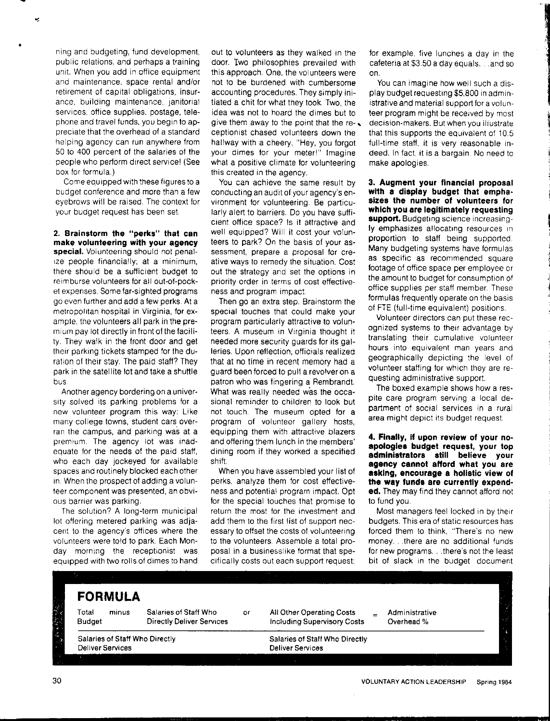ning and budgeting, fund development, public relations, and perhaps a training unit. When you add in office equipment and maintenance, space rental and/or retirement of capital obligations, insurance, building maintenance, janitoria! services, office supplies. postage, telephone and travel funds, you begin to appreciate that the overhead of a standard helping agency can run anywhere from 50 to 400 percent of the salaries of the people who perform direct service! (See box for formula.)

Come equipped with these figures to a budget conference and more than a few eyebrows will be raised. The context for your budget request has been set.

**2. Brainstorm the "perks" that can make volunteering with your agency special.** Volunteering should not penalize people financially; at a minimum, there should be a sufficient budget to reimburse volunteers for all out-of-pocket expenses. Some far-sighted programs go even further and add a few perks. At a metropolitan hospital in Virginia, for example, the volunteers all park in the premium pay lot directly in front of the facility. They walk in the front door and get their parking tickets stamped for the duration of their stay. The paid staff? They park in the satellite lot and take a shuttle bus

Another agency bordering on a university solved its parking problems for a new volunteer program this way: Like many college towns, student cars overran the campus, and parking was at a premium. The agency lot was inadequate for the needs of the paid staff, who each day jockeyed for available spaces and routinely blocked each other in. When the prospect of adding a volunteer component was presented, an obvious barrier was parking.

The solution? A long-term municipal lot offering metered parking was adjacent to the agency's offices where the volunteers were told to park. Each Monday morning the receptionist was equipped with two rolls of dimes to hand out to volunteers as they walked in the door. Two philosophies prevailed with this approach. One, the volunteers were not to be burdened with cumbersome accounting procedures. They simply initiated a chit tor what they took. Two, the idea was not to hoard the dimes but to give them away to the point that the re- $\Box$ ceptionist chased volunteers down the hallway with a cheery, "Hey, you forgot your dimes for your meter!" Imagine what a positive climate tor volunteering this created in the agency.

You can achieve the same result by conducting an audit of your agency's environment for volunteering. Be particularly alert to barriers. Do you have sufficient office space? ls it attractive and well equipped? Will it cost your volunteers to park? On the basis of your assessment, prepare a proposal for creative ways to remedy the situation. Cost out the strategy and set the options in priority order in terms of cost effectiveness and program impact

Then go an extra step. Brainstorm the special touches that could make your program particularly attractive to volunteers. A museum in Virginia thought it needed more security guards tor its galleries. Upon reflection, officials realized that at no time in recent memory had a guard been forced to pull a revolver on a patron who was fingering a Rembrandt What was really needed was the occasional reminder to children to look but not touch. The museum opted for a program of volunteer gallery hosts, equipping them with attractive blazers and offering them lunch in the members' dining room if they worked a specified shrtt.

When you have assembled your list of perks, analyze them for cost effectiveness and potential program impact. Opt tor the special touches that promise to return the most for the investment and add them to the first list of support necessary to offset the costs of volunteering to the volunteers. Assemble a total proposal in a businesslike format that specifically costs out each support request; for example, five lunches a day in the cafeteria at \$3.50 a day equals. . .and so on.

You can imagine how well such a display budget requesting \$5,800 in administrative and material support for a volunteer program might be received by most decision-makers. But when you illustrate that this supports the equivalent of 10.5 full-time staff, it is very reasonable indeed. In fact, it is a bargain. No need to make apologies

line and the second contract of the second second contract of the second second contract of the second second contract of the second second contract of the second second contract of the second second contract of the second

**3. Augment your financial proposal with a display budget that emphasizes the number of volunteers for which you are legitimately requesting**  support. Budgeting science increasingly emphasizes allocating resources 1n proportion to staff being supported. **Many** budgeting systems have formulas as specific as recommended square footage of office space per employee or the amount to budget for consumption of office supplies per staff member. These formulas frequently operate on the basis of FTE (full-time equivalent) positions.

Volunteer directors can put these recognized systems to their advantage by translating their cumulative volunteer hours into equivalent man years and geographically depicting the level of volunteer staffing tor which they are requesting administrative support.

The boxed example shows how a respite care program serving a local department of social services in a rural area might depict its budget request.

**4. Finally, if upon review of your noapologies budget request, your top administrators still believe your agency cannot afford what you are asking, encourage a holistic view of the way funds are currently expended.** They may find they cannot afford not to fund you

Most managers feel locked in by their budgets. This era of static resources has forced them to think, "There's no new money. . .there are no additional funds for new programs. . there's not the least bit of slack in the budget document

**FORMULA**  Salaries of Staff Who Total minus or All Other Operating Costs Administrative Budget Directly Deliver Services Overhead% Including Supervisory Costs Salaries of Staff Who Directly Salaries of Staff Who Directly **Deliver Services Deliver Services** 30 VOLUNTARY ACTION LEADERSHIP Spring 1984